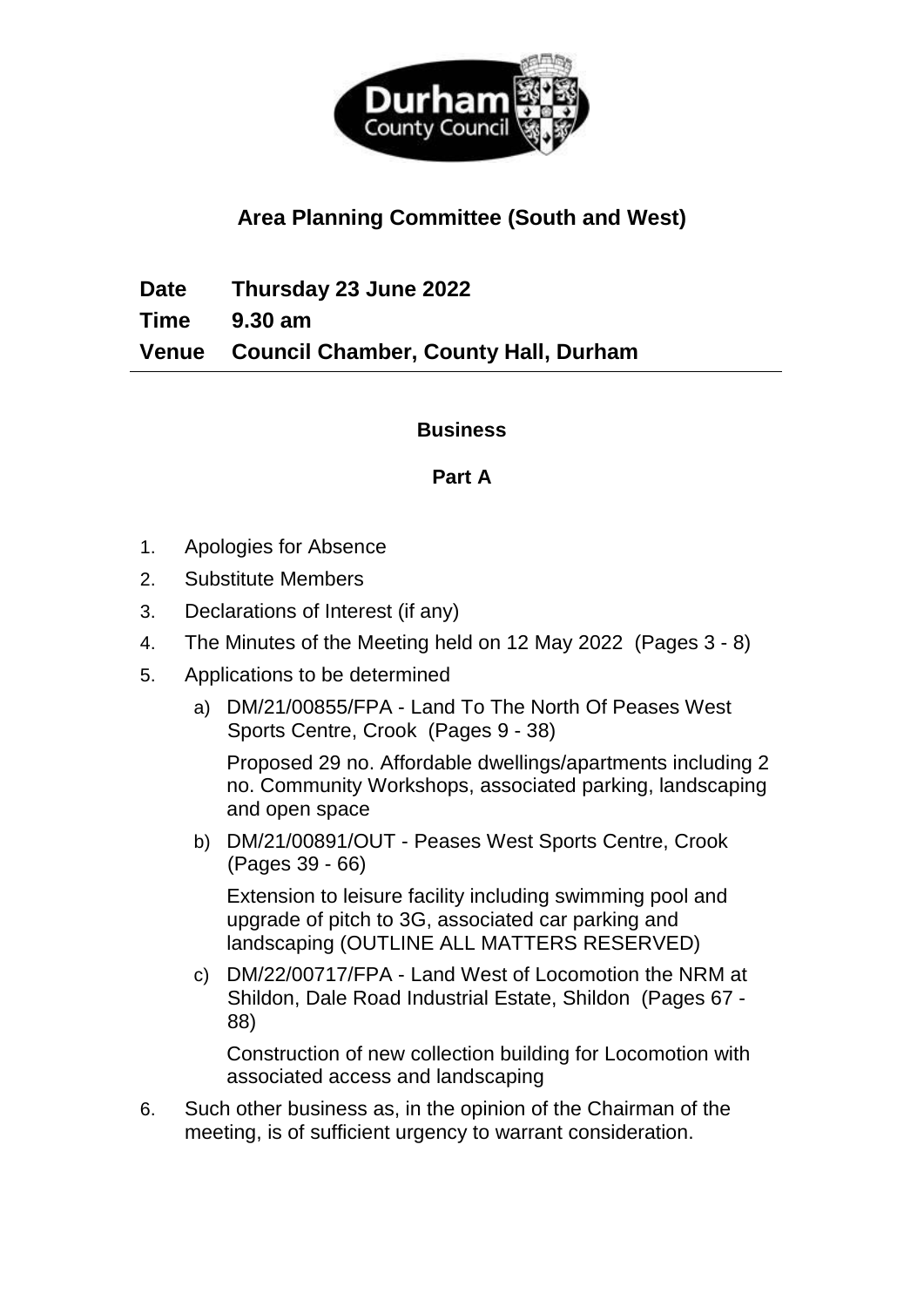

# **Area Planning Committee (South and West)**

**Date Thursday 23 June 2022 Time 9.30 am Venue Council Chamber, County Hall, Durham**

## **Business**

## **Part A**

- 1. Apologies for Absence
- 2. Substitute Members
- 3. Declarations of Interest (if any)
- 4. The Minutes of the Meeting held on 12 May 2022(Pages 3 8)
- 5. Applications to be determined
	- a) DM/21/00855/FPA Land To The North Of Peases West Sports Centre, Crook(Pages 9 - 38)

Proposed 29 no. Affordable dwellings/apartments including 2 no. Community Workshops, associated parking, landscaping and open space

b) DM/21/00891/OUT - Peases West Sports Centre, Crook (Pages 39 - 66)

Extension to leisure facility including swimming pool and upgrade of pitch to 3G, associated car parking and landscaping (OUTLINE ALL MATTERS RESERVED)

c) DM/22/00717/FPA - Land West of Locomotion the NRM at Shildon, Dale Road Industrial Estate, Shildon(Pages 67 - 88)

Construction of new collection building for Locomotion with associated access and landscaping

6. Such other business as, in the opinion of the Chairman of the meeting, is of sufficient urgency to warrant consideration.